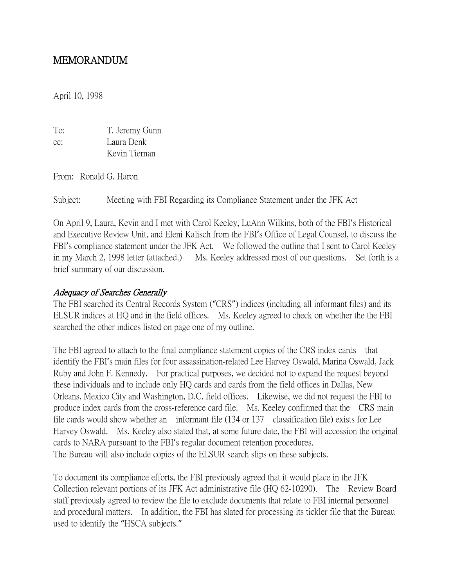# MEMORANDUM

April 10, 1998

| To: | T. Jeremy Gunn |
|-----|----------------|
| cc: | Laura Denk     |
|     | Kevin Tiernan  |

From: Ronald G. Haron

Subject: Meeting with FBI Regarding its Compliance Statement under the JFK Act

On April 9, Laura, Kevin and I met with Carol Keeley, LuAnn Wilkins, both of the FBI's Historical and Executive Review Unit, and Eleni Kalisch from the FBI's Office of Legal Counsel, to discuss the FBI's compliance statement under the JFK Act. We followed the outline that I sent to Carol Keeley in my March 2, 1998 letter (attached.) Ms. Keeley addressed most of our questions. Set forth is a brief summary of our discussion.

#### Adequacy of Searches Generally

The FBI searched its Central Records System ("CRS") indices (including all informant files) and its ELSUR indices at HQ and in the field offices. Ms. Keeley agreed to check on whether the the FBI searched the other indices listed on page one of my outline.

The FBI agreed to attach to the final compliance statement copies of the CRS index cards that identify the FBI's main files for four assassination-related Lee Harvey Oswald, Marina Oswald, Jack Ruby and John F. Kennedy. For practical purposes, we decided not to expand the request beyond these individuals and to include only HQ cards and cards from the field offices in Dallas, New Orleans, Mexico City and Washington, D.C. field offices. Likewise, we did not request the FBI to produce index cards from the cross-reference card file. Ms. Keeley confirmed that the CRS main file cards would show whether an informant file (134 or 137 classification file) exists for Lee Harvey Oswald. Ms. Keeley also stated that, at some future date, the FBI will accession the original cards to NARA pursuant to the FBI's regular document retention procedures. The Bureau will also include copies of the ELSUR search slips on these subjects.

To document its compliance efforts, the FBI previously agreed that it would place in the JFK Collection relevant portions of its JFK Act administrative file (HQ 62-10290). The Review Board staff previously agreed to review the file to exclude documents that relate to FBI internal personnel and procedural matters. In addition, the FBI has slated for processing its tickler file that the Bureau used to identify the "HSCA subjects."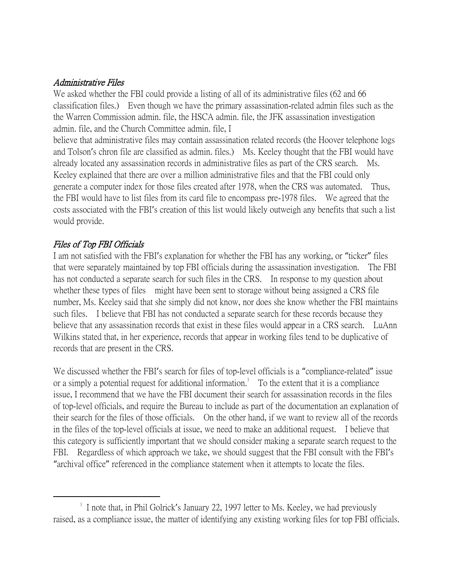### Administrative Files

We asked whether the FBI could provide a listing of all of its administrative files (62 and 66 classification files.) Even though we have the primary assassination-related admin files such as the the Warren Commission admin. file, the HSCA admin. file, the JFK assassination investigation admin. file, and the Church Committee admin. file, I

believe that administrative files may contain assassination related records (the Hoover telephone logs and Tolson's chron file are classified as admin. files.) Ms. Keeley thought that the FBI would have already located any assassination records in administrative files as part of the CRS search. Ms. Keeley explained that there are over a million administrative files and that the FBI could only generate a computer index for those files created after 1978, when the CRS was automated. Thus, the FBI would have to list files from its card file to encompass pre-1978 files. We agreed that the costs associated with the FBI's creation of this list would likely outweigh any benefits that such a list would provide.

# Files of Top FBI Officials

 $\overline{a}$ 

I am not satisfied with the FBI's explanation for whether the FBI has any working, or "ticker" files that were separately maintained by top FBI officials during the assassination investigation. The FBI has not conducted a separate search for such files in the CRS. In response to my question about whether these types of files might have been sent to storage without being assigned a CRS file number, Ms. Keeley said that she simply did not know, nor does she know whether the FBI maintains such files. I believe that FBI has not conducted a separate search for these records because they believe that any assassination records that exist in these files would appear in a CRS search. LuAnn Wilkins stated that, in her experience, records that appear in working files tend to be duplicative of records that are present in the CRS.

We discussed whether the FBI's search for files of top-level officials is a "compliance-related" issue or a simply a potential request for additional information.<sup>1</sup> To the extent that it is a compliance issue, I recommend that we have the FBI document their search for assassination records in the files of top-level officials, and require the Bureau to include as part of the documentation an explanation of their search for the files of those officials. On the other hand, if we want to review all of the records in the files of the top-level officials at issue, we need to make an additional request. I believe that this category is sufficiently important that we should consider making a separate search request to the FBI. Regardless of which approach we take, we should suggest that the FBI consult with the FBI's "archival office" referenced in the compliance statement when it attempts to locate the files.

<sup>&</sup>lt;sup>1</sup> I note that, in Phil Golrick's January 22, 1997 letter to Ms. Keeley, we had previously raised, as a compliance issue, the matter of identifying any existing working files for top FBI officials.